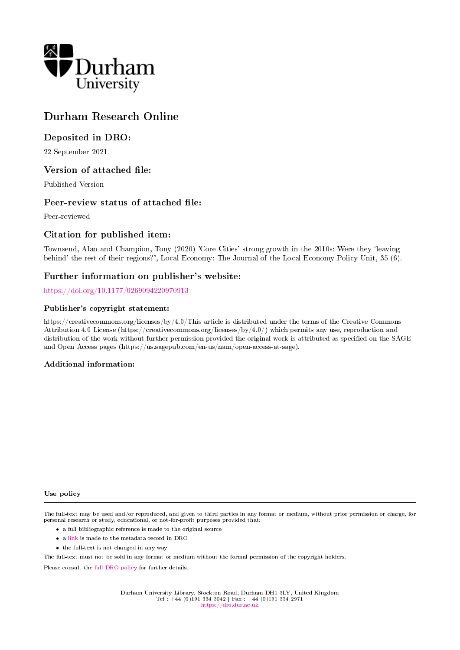

# Durham Research Online

## Deposited in DRO:

22 September 2021

## Version of attached file:

Published Version

## Peer-review status of attached file:

Peer-reviewed

## Citation for published item:

Townsend, Alan and Champion, Tony (2020) 'Core Cities' strong growth in the 2010s: Were they `leaving behind' the rest of their regions?', Local Economy: The Journal of the Local Economy Policy Unit, 35 (6).

## Further information on publisher's website:

<https://doi.org/10.1177/0269094220970913>

#### Publisher's copyright statement:

https://creativecommons.org/licenses/by/4.0/This article is distributed under the terms of the Creative Commons Attribution 4.0 License (https://creativecommons.org/licenses/by/4.0/) which permits any use, reproduction and distribution of the work without further permission provided the original work is attributed as specified on the SAGE and Open Access pages (https://us.sagepub.com/en-us/nam/open-access-at-sage).

#### Additional information:

#### Use policy

The full-text may be used and/or reproduced, and given to third parties in any format or medium, without prior permission or charge, for personal research or study, educational, or not-for-profit purposes provided that:

- a full bibliographic reference is made to the original source
- a [link](http://dro.dur.ac.uk/33929/) is made to the metadata record in DRO
- the full-text is not changed in any way

The full-text must not be sold in any format or medium without the formal permission of the copyright holders.

Please consult the [full DRO policy](https://dro.dur.ac.uk/policies/usepolicy.pdf) for further details.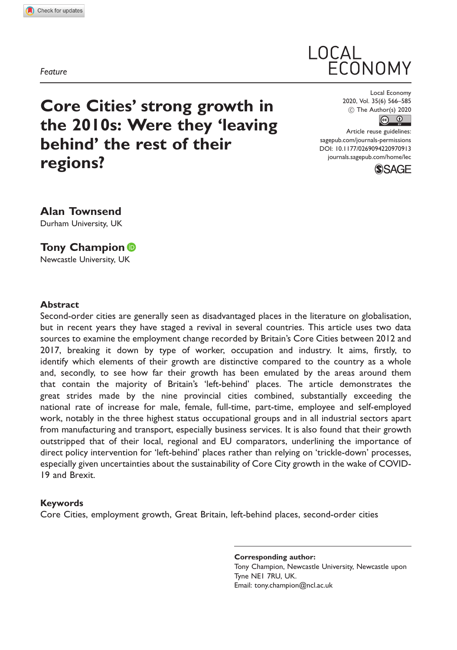Feature

Core Cities' strong growth in the 2010s: Were they 'leaving behind' the rest of their regions?

LOCAL ECONOMY

Local Economy 2020, Vol. 35(6) 566–585  $\circledcirc$  The Author(s) 2020  $\circledcirc$   $\circledcirc$ 

Article reuse guidelines: [sagepub.com/journals-permissions](http://uk.sagepub.com/en-gb/journals-permissions) [DOI: 10.1177/0269094220970913](http://dx.doi.org/10.1177/0269094220970913) <journals.sagepub.com/home/lec>



Alan Townsend Durham University, UK

Tony Champion <sup>to</sup> Newcastle University, UK

#### Abstract

Second-order cities are generally seen as disadvantaged places in the literature on globalisation, but in recent years they have staged a revival in several countries. This article uses two data sources to examine the employment change recorded by Britain's Core Cities between 2012 and 2017, breaking it down by type of worker, occupation and industry. It aims, firstly, to identify which elements of their growth are distinctive compared to the country as a whole and, secondly, to see how far their growth has been emulated by the areas around them that contain the majority of Britain's 'left-behind' places. The article demonstrates the great strides made by the nine provincial cities combined, substantially exceeding the national rate of increase for male, female, full-time, part-time, employee and self-employed work, notably in the three highest status occupational groups and in all industrial sectors apart from manufacturing and transport, especially business services. It is also found that their growth outstripped that of their local, regional and EU comparators, underlining the importance of direct policy intervention for 'left-behind' places rather than relying on 'trickle-down' processes, especially given uncertainties about the sustainability of Core City growth in the wake of COVID-19 and Brexit.

#### Keywords

Core Cities, employment growth, Great Britain, left-behind places, second-order cities

Corresponding author: Tony Champion, Newcastle University, Newcastle upon Tyne NE1 7RU, UK. Email: [tony.champion@ncl.ac.uk](mailto:tony.champion@ncl.ac.uk)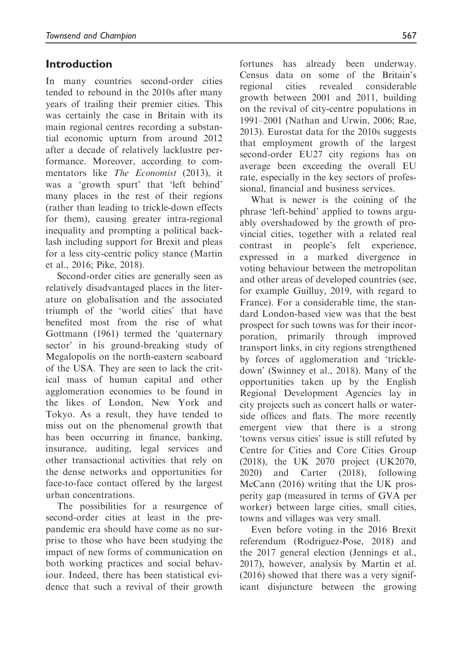## Introduction

In many countries second-order cities tended to rebound in the 2010s after many years of trailing their premier cities. This was certainly the case in Britain with its main regional centres recording a substantial economic upturn from around 2012 after a decade of relatively lacklustre performance. Moreover, according to commentators like *The Economist* (2013), it was a 'growth spurt' that 'left behind' many places in the rest of their regions (rather than leading to trickle-down effects for them), causing greater intra-regional inequality and prompting a political backlash including support for Brexit and pleas for a less city-centric policy stance (Martin et al., 2016; Pike, 2018).

Second-order cities are generally seen as relatively disadvantaged places in the literature on globalisation and the associated triumph of the 'world cities' that have benefited most from the rise of what Gottmann (1961) termed the 'quaternary sector' in his ground-breaking study of Megalopolis on the north-eastern seaboard of the USA. They are seen to lack the critical mass of human capital and other agglomeration economies to be found in the likes of London, New York and Tokyo. As a result, they have tended to miss out on the phenomenal growth that has been occurring in finance, banking, insurance, auditing, legal services and other transactional activities that rely on the dense networks and opportunities for face-to-face contact offered by the largest urban concentrations.

The possibilities for a resurgence of second-order cities at least in the prepandemic era should have come as no surprise to those who have been studying the impact of new forms of communication on both working practices and social behaviour. Indeed, there has been statistical evidence that such a revival of their growth

fortunes has already been underway. Census data on some of the Britain's regional cities revealed considerable growth between 2001 and 2011, building on the revival of city-centre populations in 1991–2001 (Nathan and Urwin, 2006; Rae, 2013). Eurostat data for the 2010s suggests that employment growth of the largest second-order EU27 city regions has on average been exceeding the overall EU rate, especially in the key sectors of professional, financial and business services.

What is newer is the coining of the phrase 'left-behind' applied to towns arguably overshadowed by the growth of provincial cities, together with a related real contrast in people's felt experience, expressed in a marked divergence in voting behaviour between the metropolitan and other areas of developed countries (see, for example Guilluy, 2019, with regard to France). For a considerable time, the standard London-based view was that the best prospect for such towns was for their incorporation, primarily through improved transport links, in city regions strengthened by forces of agglomeration and 'trickledown' (Swinney et al., 2018). Many of the opportunities taken up by the English Regional Development Agencies lay in city projects such as concert halls or waterside offices and flats. The more recently emergent view that there is a strong 'towns versus cities' issue is still refuted by Centre for Cities and Core Cities Group (2018), the UK 2070 project (UK2070, 2020) and Carter (2018), following McCann (2016) writing that the UK prosperity gap (measured in terms of GVA per worker) between large cities, small cities, towns and villages was very small.

Even before voting in the 2016 Brexit referendum (Rodriguez-Pose, 2018) and the 2017 general election (Jennings et al., 2017), however, analysis by Martin et al. (2016) showed that there was a very significant disjuncture between the growing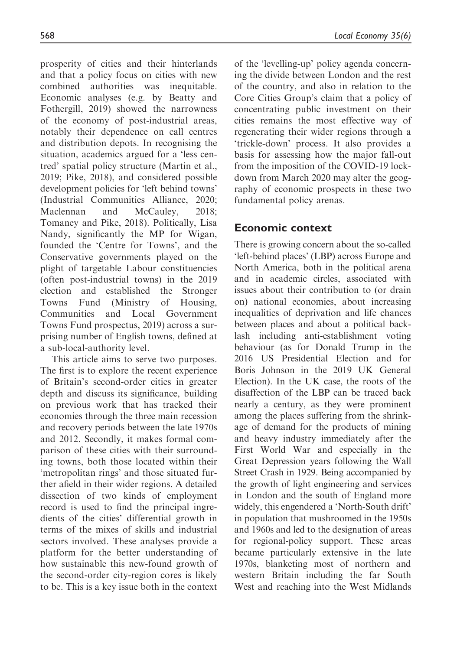prosperity of cities and their hinterlands and that a policy focus on cities with new combined authorities was inequitable. Economic analyses (e.g. by Beatty and Fothergill, 2019) showed the narrowness of the economy of post-industrial areas, notably their dependence on call centres and distribution depots. In recognising the situation, academics argued for a 'less centred' spatial policy structure (Martin et al., 2019; Pike, 2018), and considered possible development policies for 'left behind towns' (Industrial Communities Alliance, 2020; Maclennan and McCauley, 2018; Tomaney and Pike, 2018). Politically, Lisa Nandy, significantly the MP for Wigan, founded the 'Centre for Towns', and the Conservative governments played on the plight of targetable Labour constituencies (often post-industrial towns) in the 2019 election and established the Stronger Towns Fund (Ministry of Housing, Communities and Local Government Towns Fund prospectus, 2019) across a surprising number of English towns, defined at a sub-local-authority level.

This article aims to serve two purposes. The first is to explore the recent experience of Britain's second-order cities in greater depth and discuss its significance, building on previous work that has tracked their economies through the three main recession and recovery periods between the late 1970s and 2012. Secondly, it makes formal comparison of these cities with their surrounding towns, both those located within their 'metropolitan rings' and those situated further afield in their wider regions. A detailed dissection of two kinds of employment record is used to find the principal ingredients of the cities' differential growth in terms of the mixes of skills and industrial sectors involved. These analyses provide a platform for the better understanding of how sustainable this new-found growth of the second-order city-region cores is likely to be. This is a key issue both in the context of the 'levelling-up' policy agenda concerning the divide between London and the rest of the country, and also in relation to the Core Cities Group's claim that a policy of concentrating public investment on their cities remains the most effective way of regenerating their wider regions through a 'trickle-down' process. It also provides a basis for assessing how the major fall-out from the imposition of the COVID-19 lockdown from March 2020 may alter the geography of economic prospects in these two fundamental policy arenas.

### Economic context

There is growing concern about the so-called 'left-behind places' (LBP) across Europe and North America, both in the political arena and in academic circles, associated with issues about their contribution to (or drain on) national economies, about increasing inequalities of deprivation and life chances between places and about a political backlash including anti-establishment voting behaviour (as for Donald Trump in the 2016 US Presidential Election and for Boris Johnson in the 2019 UK General Election). In the UK case, the roots of the disaffection of the LBP can be traced back nearly a century, as they were prominent among the places suffering from the shrinkage of demand for the products of mining and heavy industry immediately after the First World War and especially in the Great Depression years following the Wall Street Crash in 1929. Being accompanied by the growth of light engineering and services in London and the south of England more widely, this engendered a 'North-South drift' in population that mushroomed in the 1950s and 1960s and led to the designation of areas for regional-policy support. These areas became particularly extensive in the late 1970s, blanketing most of northern and western Britain including the far South West and reaching into the West Midlands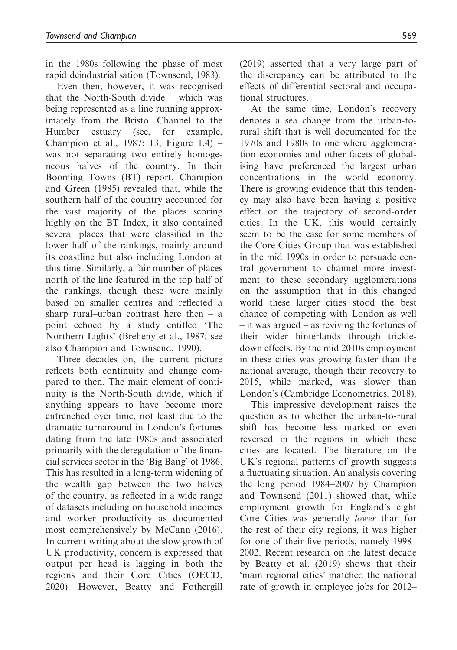in the 1980s following the phase of most rapid deindustrialisation (Townsend, 1983).

Even then, however, it was recognised that the North-South divide – which was being represented as a line running approximately from the Bristol Channel to the Humber estuary (see, for example, Champion et al., 1987: 13, Figure 1.4) – was not separating two entirely homogeneous halves of the country. In their Booming Towns (BT) report, Champion and Green (1985) revealed that, while the southern half of the country accounted for the vast majority of the places scoring highly on the BT Index, it also contained several places that were classified in the lower half of the rankings, mainly around its coastline but also including London at this time. Similarly, a fair number of places north of the line featured in the top half of the rankings, though these were mainly based on smaller centres and reflected a sharp rural–urban contrast here then – a point echoed by a study entitled 'The Northern Lights' (Breheny et al., 1987; see also Champion and Townsend, 1990).

Three decades on, the current picture reflects both continuity and change compared to then. The main element of continuity is the North-South divide, which if anything appears to have become more entrenched over time, not least due to the dramatic turnaround in London's fortunes dating from the late 1980s and associated primarily with the deregulation of the financial services sector in the 'Big Bang' of 1986. This has resulted in a long-term widening of the wealth gap between the two halves of the country, as reflected in a wide range of datasets including on household incomes and worker productivity as documented most comprehensively by McCann (2016). In current writing about the slow growth of UK productivity, concern is expressed that output per head is lagging in both the regions and their Core Cities (OECD, 2020). However, Beatty and Fothergill

(2019) asserted that a very large part of the discrepancy can be attributed to the effects of differential sectoral and occupational structures.

At the same time, London's recovery denotes a sea change from the urban-torural shift that is well documented for the 1970s and 1980s to one where agglomeration economies and other facets of globalising have preferenced the largest urban concentrations in the world economy. There is growing evidence that this tendency may also have been having a positive effect on the trajectory of second-order cities. In the UK, this would certainly seem to be the case for some members of the Core Cities Group that was established in the mid 1990s in order to persuade central government to channel more investment to these secondary agglomerations on the assumption that in this changed world these larger cities stood the best chance of competing with London as well – it was argued – as reviving the fortunes of their wider hinterlands through trickledown effects. By the mid 2010s employment in these cities was growing faster than the national average, though their recovery to 2015, while marked, was slower than London's (Cambridge Econometrics, 2018).

This impressive development raises the question as to whether the urban-to-rural shift has become less marked or even reversed in the regions in which these cities are located. The literature on the UK's regional patterns of growth suggests a fluctuating situation. An analysis covering the long period 1984–2007 by Champion and Townsend (2011) showed that, while employment growth for England's eight Core Cities was generally lower than for the rest of their city regions, it was higher for one of their five periods, namely 1998– 2002. Recent research on the latest decade by Beatty et al. (2019) shows that their 'main regional cities' matched the national rate of growth in employee jobs for 2012–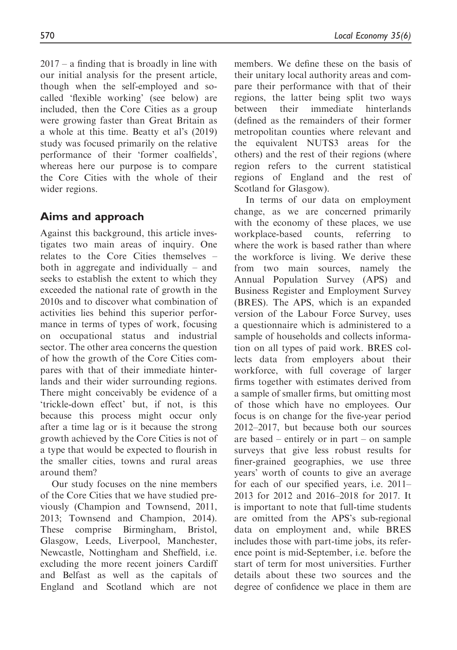2017 – a finding that is broadly in line with our initial analysis for the present article, though when the self-employed and socalled 'flexible working' (see below) are included, then the Core Cities as a group were growing faster than Great Britain as a whole at this time. Beatty et al's (2019) study was focused primarily on the relative performance of their 'former coalfields', whereas here our purpose is to compare the Core Cities with the whole of their wider regions.

## Aims and approach

Against this background, this article investigates two main areas of inquiry. One relates to the Core Cities themselves – both in aggregate and individually – and seeks to establish the extent to which they exceeded the national rate of growth in the 2010s and to discover what combination of activities lies behind this superior performance in terms of types of work, focusing on occupational status and industrial sector. The other area concerns the question of how the growth of the Core Cities compares with that of their immediate hinterlands and their wider surrounding regions. There might conceivably be evidence of a 'trickle-down effect' but, if not, is this because this process might occur only after a time lag or is it because the strong growth achieved by the Core Cities is not of a type that would be expected to flourish in the smaller cities, towns and rural areas around them?

Our study focuses on the nine members of the Core Cities that we have studied previously (Champion and Townsend, 2011, 2013; Townsend and Champion, 2014). These comprise Birmingham, Bristol, Glasgow, Leeds, Liverpool, Manchester, Newcastle, Nottingham and Sheffield, i.e. excluding the more recent joiners Cardiff and Belfast as well as the capitals of England and Scotland which are not members. We define these on the basis of their unitary local authority areas and compare their performance with that of their regions, the latter being split two ways between their immediate hinterlands (defined as the remainders of their former metropolitan counties where relevant and the equivalent NUTS3 areas for the others) and the rest of their regions (where region refers to the current statistical regions of England and the rest of Scotland for Glasgow).

In terms of our data on employment change, as we are concerned primarily with the economy of these places, we use workplace-based counts, referring to where the work is based rather than where the workforce is living. We derive these from two main sources, namely the Annual Population Survey (APS) and Business Register and Employment Survey (BRES). The APS, which is an expanded version of the Labour Force Survey, uses a questionnaire which is administered to a sample of households and collects information on all types of paid work. BRES collects data from employers about their workforce, with full coverage of larger firms together with estimates derived from a sample of smaller firms, but omitting most of those which have no employees. Our focus is on change for the five-year period 2012–2017, but because both our sources are based – entirely or in part – on sample surveys that give less robust results for finer-grained geographies, we use three years' worth of counts to give an average for each of our specified years, i.e. 2011– 2013 for 2012 and 2016–2018 for 2017. It is important to note that full-time students are omitted from the APS's sub-regional data on employment and, while BRES includes those with part-time jobs, its reference point is mid-September, i.e. before the start of term for most universities. Further details about these two sources and the degree of confidence we place in them are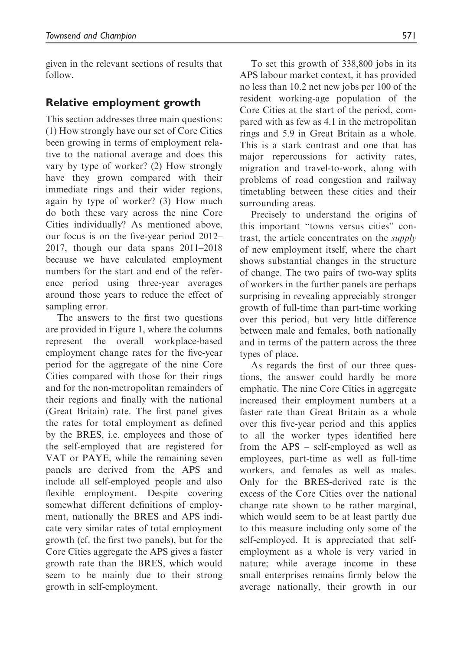given in the relevant sections of results that follow.

## Relative employment growth

This section addresses three main questions: (1) How strongly have our set of Core Cities been growing in terms of employment relative to the national average and does this vary by type of worker? (2) How strongly have they grown compared with their immediate rings and their wider regions, again by type of worker? (3) How much do both these vary across the nine Core Cities individually? As mentioned above, our focus is on the five-year period 2012– 2017, though our data spans 2011–2018 because we have calculated employment numbers for the start and end of the reference period using three-year averages around those years to reduce the effect of sampling error.

The answers to the first two questions are provided in Figure 1, where the columns represent the overall workplace-based employment change rates for the five-year period for the aggregate of the nine Core Cities compared with those for their rings and for the non-metropolitan remainders of their regions and finally with the national (Great Britain) rate. The first panel gives the rates for total employment as defined by the BRES, i.e. employees and those of the self-employed that are registered for VAT or PAYE, while the remaining seven panels are derived from the APS and include all self-employed people and also flexible employment. Despite covering somewhat different definitions of employment, nationally the BRES and APS indicate very similar rates of total employment growth (cf. the first two panels), but for the Core Cities aggregate the APS gives a faster growth rate than the BRES, which would seem to be mainly due to their strong growth in self-employment.

To set this growth of 338,800 jobs in its APS labour market context, it has provided no less than 10.2 net new jobs per 100 of the resident working-age population of the Core Cities at the start of the period, compared with as few as 4.1 in the metropolitan rings and 5.9 in Great Britain as a whole. This is a stark contrast and one that has major repercussions for activity rates, migration and travel-to-work, along with problems of road congestion and railway timetabling between these cities and their surrounding areas.

Precisely to understand the origins of this important "towns versus cities" contrast, the article concentrates on the supply of new employment itself, where the chart shows substantial changes in the structure of change. The two pairs of two-way splits of workers in the further panels are perhaps surprising in revealing appreciably stronger growth of full-time than part-time working over this period, but very little difference between male and females, both nationally and in terms of the pattern across the three types of place.

As regards the first of our three questions, the answer could hardly be more emphatic. The nine Core Cities in aggregate increased their employment numbers at a faster rate than Great Britain as a whole over this five-year period and this applies to all the worker types identified here from the APS – self-employed as well as employees, part-time as well as full-time workers, and females as well as males. Only for the BRES-derived rate is the excess of the Core Cities over the national change rate shown to be rather marginal, which would seem to be at least partly due to this measure including only some of the self-employed. It is appreciated that selfemployment as a whole is very varied in nature; while average income in these small enterprises remains firmly below the average nationally, their growth in our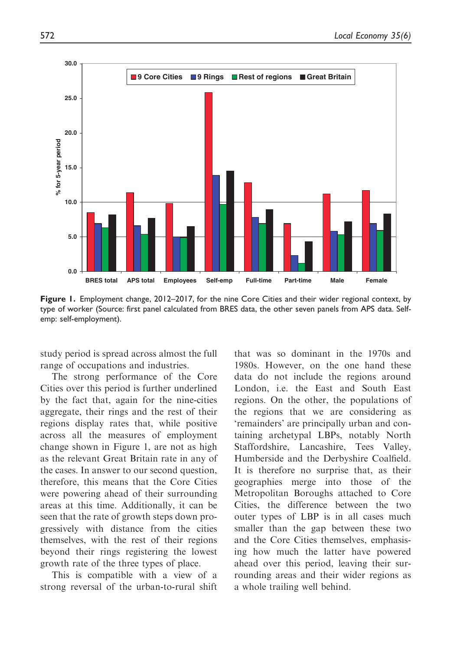

Figure 1. Employment change, 2012–2017, for the nine Core Cities and their wider regional context, by type of worker (Source: first panel calculated from BRES data, the other seven panels from APS data. Selfemp: self-employment).

study period is spread across almost the full range of occupations and industries.

The strong performance of the Core Cities over this period is further underlined by the fact that, again for the nine-cities aggregate, their rings and the rest of their regions display rates that, while positive across all the measures of employment change shown in Figure 1, are not as high as the relevant Great Britain rate in any of the cases. In answer to our second question, therefore, this means that the Core Cities were powering ahead of their surrounding areas at this time. Additionally, it can be seen that the rate of growth steps down progressively with distance from the cities themselves, with the rest of their regions beyond their rings registering the lowest growth rate of the three types of place.

This is compatible with a view of a strong reversal of the urban-to-rural shift that was so dominant in the 1970s and 1980s. However, on the one hand these data do not include the regions around London, i.e. the East and South East regions. On the other, the populations of the regions that we are considering as 'remainders' are principally urban and containing archetypal LBPs, notably North Staffordshire, Lancashire, Tees Valley, Humberside and the Derbyshire Coalfield. It is therefore no surprise that, as their geographies merge into those of the Metropolitan Boroughs attached to Core Cities, the difference between the two outer types of LBP is in all cases much smaller than the gap between these two and the Core Cities themselves, emphasising how much the latter have powered ahead over this period, leaving their surrounding areas and their wider regions as a whole trailing well behind.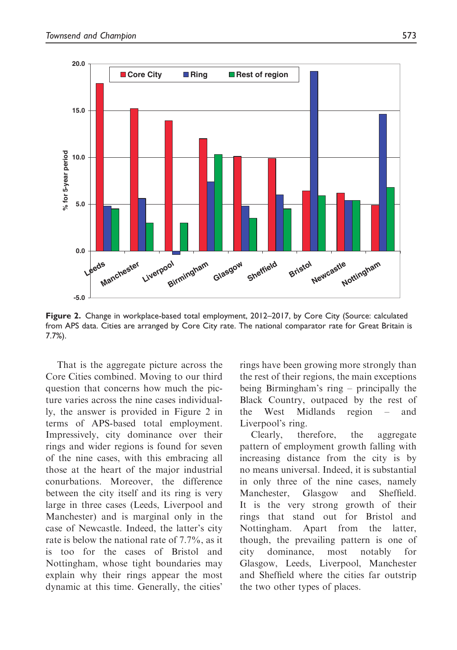

Figure 2. Change in workplace-based total employment, 2012–2017, by Core City (Source: calculated from APS data. Cities are arranged by Core City rate. The national comparator rate for Great Britain is 7.7%).

That is the aggregate picture across the Core Cities combined. Moving to our third question that concerns how much the picture varies across the nine cases individually, the answer is provided in Figure 2 in terms of APS-based total employment. Impressively, city dominance over their rings and wider regions is found for seven of the nine cases, with this embracing all those at the heart of the major industrial conurbations. Moreover, the difference between the city itself and its ring is very large in three cases (Leeds, Liverpool and Manchester) and is marginal only in the case of Newcastle. Indeed, the latter's city rate is below the national rate of 7.7%, as it is too for the cases of Bristol and Nottingham, whose tight boundaries may explain why their rings appear the most dynamic at this time. Generally, the cities'

rings have been growing more strongly than the rest of their regions, the main exceptions being Birmingham's ring – principally the Black Country, outpaced by the rest of the West Midlands region – and Liverpool's ring.

Clearly, therefore, the aggregate pattern of employment growth falling with increasing distance from the city is by no means universal. Indeed, it is substantial in only three of the nine cases, namely Manchester, Glasgow and Sheffield. It is the very strong growth of their rings that stand out for Bristol and Nottingham. Apart from the latter, though, the prevailing pattern is one of city dominance, most notably for Glasgow, Leeds, Liverpool, Manchester and Sheffield where the cities far outstrip the two other types of places.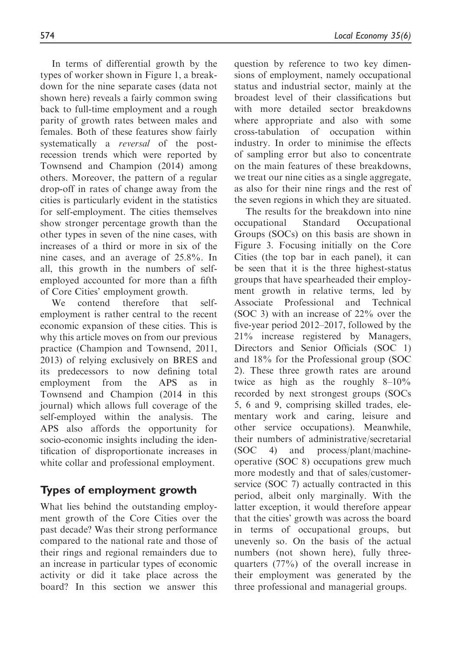In terms of differential growth by the types of worker shown in Figure 1, a breakdown for the nine separate cases (data not shown here) reveals a fairly common swing back to full-time employment and a rough parity of growth rates between males and females. Both of these features show fairly systematically a reversal of the postrecession trends which were reported by Townsend and Champion (2014) among others. Moreover, the pattern of a regular drop-off in rates of change away from the cities is particularly evident in the statistics for self-employment. The cities themselves show stronger percentage growth than the other types in seven of the nine cases, with increases of a third or more in six of the nine cases, and an average of 25.8%. In all, this growth in the numbers of selfemployed accounted for more than a fifth of Core Cities' employment growth.

We contend therefore that selfemployment is rather central to the recent economic expansion of these cities. This is why this article moves on from our previous practice (Champion and Townsend, 2011, 2013) of relying exclusively on BRES and its predecessors to now defining total employment from the APS as in Townsend and Champion (2014 in this journal) which allows full coverage of the self-employed within the analysis. The APS also affords the opportunity for socio-economic insights including the identification of disproportionate increases in white collar and professional employment.

## Types of employment growth

What lies behind the outstanding employment growth of the Core Cities over the past decade? Was their strong performance compared to the national rate and those of their rings and regional remainders due to an increase in particular types of economic activity or did it take place across the board? In this section we answer this question by reference to two key dimensions of employment, namely occupational status and industrial sector, mainly at the broadest level of their classifications but with more detailed sector breakdowns where appropriate and also with some cross-tabulation of occupation within industry. In order to minimise the effects of sampling error but also to concentrate on the main features of these breakdowns, we treat our nine cities as a single aggregate, as also for their nine rings and the rest of the seven regions in which they are situated.

The results for the breakdown into nine occupational Standard Occupational Groups (SOCs) on this basis are shown in Figure 3. Focusing initially on the Core Cities (the top bar in each panel), it can be seen that it is the three highest-status groups that have spearheaded their employment growth in relative terms, led by Associate Professional and Technical (SOC 3) with an increase of 22% over the five-year period 2012–2017, followed by the 21% increase registered by Managers, Directors and Senior Officials (SOC 1) and 18% for the Professional group (SOC 2). These three growth rates are around twice as high as the roughly 8–10% recorded by next strongest groups (SOCs 5, 6 and 9, comprising skilled trades, elementary work and caring, leisure and other service occupations). Meanwhile, their numbers of administrative/secretarial (SOC 4) and process/plant/machineoperative (SOC 8) occupations grew much more modestly and that of sales/customerservice (SOC 7) actually contracted in this period, albeit only marginally. With the latter exception, it would therefore appear that the cities' growth was across the board in terms of occupational groups, but unevenly so. On the basis of the actual numbers (not shown here), fully threequarters (77%) of the overall increase in their employment was generated by the three professional and managerial groups.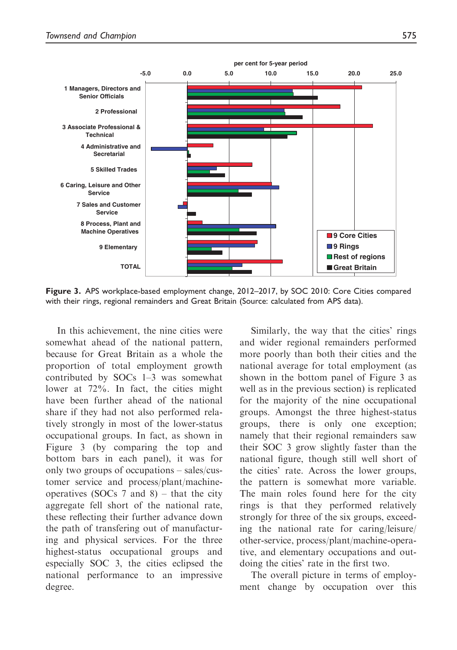

Figure 3. APS workplace-based employment change, 2012-2017, by SOC 2010: Core Cities compared with their rings, regional remainders and Great Britain (Source: calculated from APS data).

In this achievement, the nine cities were somewhat ahead of the national pattern, because for Great Britain as a whole the proportion of total employment growth contributed by SOCs 1–3 was somewhat lower at 72%. In fact, the cities might have been further ahead of the national share if they had not also performed relatively strongly in most of the lower-status occupational groups. In fact, as shown in Figure 3 (by comparing the top and bottom bars in each panel), it was for only two groups of occupations – sales/customer service and process/plant/machineoperatives (SOCs 7 and 8) – that the city aggregate fell short of the national rate, these reflecting their further advance down the path of transfering out of manufacturing and physical services. For the three highest-status occupational groups and especially SOC 3, the cities eclipsed the national performance to an impressive degree.

Similarly, the way that the cities' rings and wider regional remainders performed more poorly than both their cities and the national average for total employment (as shown in the bottom panel of Figure 3 as well as in the previous section) is replicated for the majority of the nine occupational groups. Amongst the three highest-status groups, there is only one exception; namely that their regional remainders saw their SOC 3 grow slightly faster than the national figure, though still well short of the cities' rate. Across the lower groups, the pattern is somewhat more variable. The main roles found here for the city rings is that they performed relatively strongly for three of the six groups, exceeding the national rate for caring/leisure/ other-service, process/plant/machine-operative, and elementary occupations and outdoing the cities' rate in the first two.

The overall picture in terms of employment change by occupation over this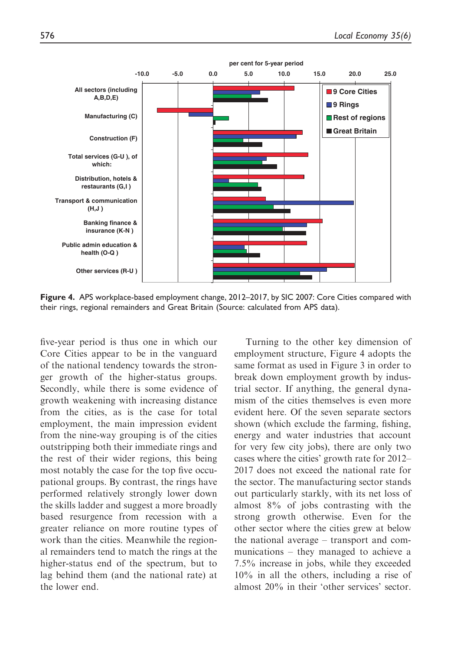

Figure 4. APS workplace-based employment change, 2012–2017, by SIC 2007; Core Cities compared with their rings, regional remainders and Great Britain (Source: calculated from APS data).

five-year period is thus one in which our Core Cities appear to be in the vanguard of the national tendency towards the stronger growth of the higher-status groups. Secondly, while there is some evidence of growth weakening with increasing distance from the cities, as is the case for total employment, the main impression evident from the nine-way grouping is of the cities outstripping both their immediate rings and the rest of their wider regions, this being most notably the case for the top five occupational groups. By contrast, the rings have performed relatively strongly lower down the skills ladder and suggest a more broadly based resurgence from recession with a greater reliance on more routine types of work than the cities. Meanwhile the regional remainders tend to match the rings at the higher-status end of the spectrum, but to lag behind them (and the national rate) at the lower end.

Turning to the other key dimension of employment structure, Figure 4 adopts the same format as used in Figure 3 in order to break down employment growth by industrial sector. If anything, the general dynamism of the cities themselves is even more evident here. Of the seven separate sectors shown (which exclude the farming, fishing, energy and water industries that account for very few city jobs), there are only two cases where the cities' growth rate for 2012– 2017 does not exceed the national rate for the sector. The manufacturing sector stands out particularly starkly, with its net loss of almost 8% of jobs contrasting with the strong growth otherwise. Even for the other sector where the cities grew at below the national average – transport and communications – they managed to achieve a 7.5% increase in jobs, while they exceeded 10% in all the others, including a rise of almost 20% in their 'other services' sector.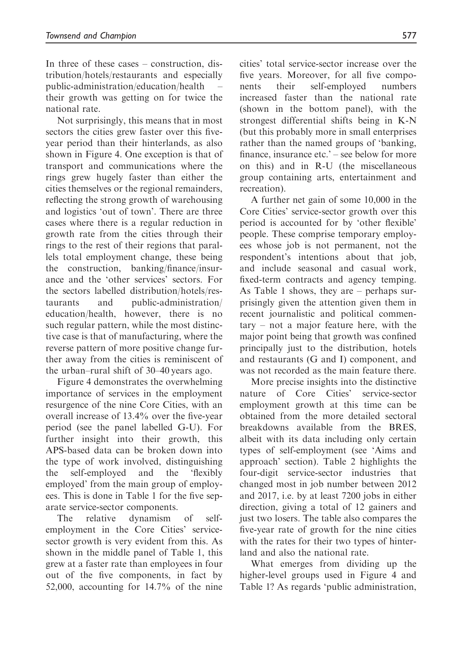In three of these cases – construction, distribution/hotels/restaurants and especially public-administration/education/health – their growth was getting on for twice the national rate.

Not surprisingly, this means that in most sectors the cities grew faster over this fiveyear period than their hinterlands, as also shown in Figure 4. One exception is that of transport and communications where the rings grew hugely faster than either the cities themselves or the regional remainders, reflecting the strong growth of warehousing and logistics 'out of town'. There are three cases where there is a regular reduction in growth rate from the cities through their rings to the rest of their regions that parallels total employment change, these being the construction, banking/finance/insurance and the 'other services' sectors. For the sectors labelled distribution/hotels/restaurants and public-administration/ education/health, however, there is no such regular pattern, while the most distinctive case is that of manufacturing, where the reverse pattern of more positive change further away from the cities is reminiscent of the urban–rural shift of 30–40 years ago.

Figure 4 demonstrates the overwhelming importance of services in the employment resurgence of the nine Core Cities, with an overall increase of 13.4% over the five-year period (see the panel labelled G-U). For further insight into their growth, this APS-based data can be broken down into the type of work involved, distinguishing the self-employed and the 'flexibly employed' from the main group of employees. This is done in Table 1 for the five separate service-sector components.

The relative dynamism of selfemployment in the Core Cities' servicesector growth is very evident from this. As shown in the middle panel of Table 1, this grew at a faster rate than employees in four out of the five components, in fact by 52,000, accounting for 14.7% of the nine cities' total service-sector increase over the five years. Moreover, for all five components their self-employed numbers increased faster than the national rate (shown in the bottom panel), with the strongest differential shifts being in K-N (but this probably more in small enterprises rather than the named groups of 'banking, finance, insurance etc.' – see below for more on this) and in R-U (the miscellaneous group containing arts, entertainment and recreation).

A further net gain of some 10,000 in the Core Cities' service-sector growth over this period is accounted for by 'other flexible' people. These comprise temporary employees whose job is not permanent, not the respondent's intentions about that job, and include seasonal and casual work, fixed-term contracts and agency temping. As Table 1 shows, they are – perhaps surprisingly given the attention given them in recent journalistic and political commentary – not a major feature here, with the major point being that growth was confined principally just to the distribution, hotels and restaurants (G and I) component, and was not recorded as the main feature there.

More precise insights into the distinctive nature of Core Cities' service-sector employment growth at this time can be obtained from the more detailed sectoral breakdowns available from the BRES, albeit with its data including only certain types of self-employment (see 'Aims and approach' section). Table 2 highlights the four-digit service-sector industries that changed most in job number between 2012 and 2017, i.e. by at least 7200 jobs in either direction, giving a total of 12 gainers and just two losers. The table also compares the five-year rate of growth for the nine cities with the rates for their two types of hinterland and also the national rate.

What emerges from dividing up the higher-level groups used in Figure 4 and Table 1? As regards 'public administration,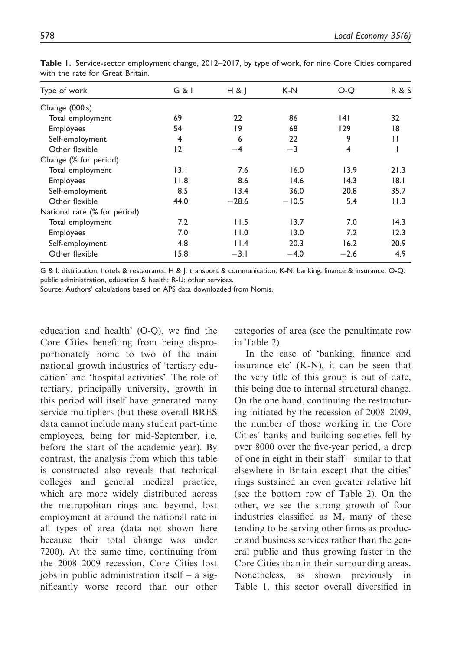| Type of work                 | G & I          | H 8     | $K-N$   | O-O            | <b>R&amp;S</b> |
|------------------------------|----------------|---------|---------|----------------|----------------|
| Change (000 s)               |                |         |         |                |                |
| Total employment             | 69             | 22      | 86      | 141            | 32             |
| Employees                    | 54             | 9       | 68      | 129            | 18             |
| Self-employment              | $\overline{4}$ | 6       | 22      | 9              | П              |
| Other flexible               | 12             | $-4$    | $-3$    | $\overline{4}$ |                |
| Change (% for period)        |                |         |         |                |                |
| Total employment             | 13.1           | 7.6     | 16.0    | 13.9           | 21.3           |
| Employees                    | 11.8           | 8.6     | 14.6    | 14.3           | 18.1           |
| Self-employment              | 8.5            | 13.4    | 36.0    | 20.8           | 35.7           |
| Other flexible               | 44.0           | $-28.6$ | $-10.5$ | 5.4            | 11.3           |
| National rate (% for period) |                |         |         |                |                |
| Total employment             | 7.2            | 11.5    | 13.7    | 7.0            | 14.3           |
| <b>Employees</b>             | 7.0            | 11.0    | 13.0    | 7.2            | 12.3           |
| Self-employment              | 4.8            | 11.4    | 20.3    | 16.2           | 20.9           |
| Other flexible               | 15.8           | $-3.1$  | $-4.0$  | $-2.6$         | 4.9            |

Table 1. Service-sector employment change, 2012–2017, by type of work, for nine Core Cities compared with the rate for Great Britain.

G & I: distribution, hotels & restaurants; H & J: transport & communication; K-N: banking, finance & insurance; O-Q: public administration, education & health; R-U: other services.

Source: Authors' calculations based on APS data downloaded from Nomis.

education and health' (O-Q), we find the Core Cities benefiting from being disproportionately home to two of the main national growth industries of 'tertiary education' and 'hospital activities'. The role of tertiary, principally university, growth in this period will itself have generated many service multipliers (but these overall BRES data cannot include many student part-time employees, being for mid-September, i.e. before the start of the academic year). By contrast, the analysis from which this table is constructed also reveals that technical colleges and general medical practice, which are more widely distributed across the metropolitan rings and beyond, lost employment at around the national rate in all types of area (data not shown here because their total change was under 7200). At the same time, continuing from the 2008–2009 recession, Core Cities lost jobs in public administration itself – a significantly worse record than our other categories of area (see the penultimate row in Table 2).

In the case of 'banking, finance and insurance etc'  $(K-N)$ , it can be seen that the very title of this group is out of date, this being due to internal structural change. On the one hand, continuing the restructuring initiated by the recession of 2008–2009, the number of those working in the Core Cities' banks and building societies fell by over 8000 over the five-year period, a drop of one in eight in their staff – similar to that elsewhere in Britain except that the cities' rings sustained an even greater relative hit (see the bottom row of Table 2). On the other, we see the strong growth of four industries classified as M, many of these tending to be serving other firms as producer and business services rather than the general public and thus growing faster in the Core Cities than in their surrounding areas. Nonetheless, as shown previously in Table 1, this sector overall diversified in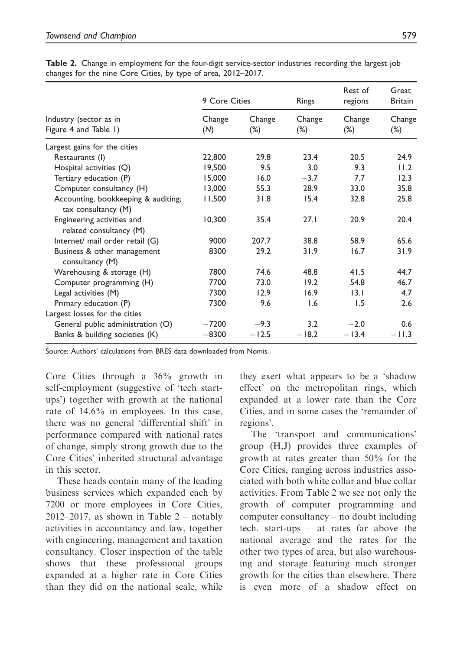|                                                            | 9 Core Cities |                  | Rings            | Rest of<br>regions | Great<br><b>Britain</b> |
|------------------------------------------------------------|---------------|------------------|------------------|--------------------|-------------------------|
| Industry (sector as in                                     | Change<br>(N) | Change<br>$(\%)$ | Change<br>$(\%)$ | Change<br>$(\%)$   | Change<br>$(\%)$        |
| Figure 4 and Table 1)                                      |               |                  |                  |                    |                         |
| Largest gains for the cities                               |               |                  |                  |                    |                         |
| Restaurants (I)                                            | 22,800        | 29.8             | 23.4             | 20.5               | 24.9                    |
| Hospital activities (Q)                                    | 19,500        | 9.5              | 3.0              | 9.3                | 11.2                    |
| Tertiary education (P)                                     | 15,000        | 16.0             | $-3.7$           | 7.7                | 12.3                    |
| Computer consultancy (H)                                   | 13,000        | 55.3             | 28.9             | 33.0               | 35.8                    |
| Accounting, bookkeeping & auditing;<br>tax consultancy (M) | 11,500        | 31.8             | 15.4             | 32.8               | 25.8                    |
| Engineering activities and<br>related consultancy (M)      | 10,300        | 35.4             | 27.1             | 20.9               | 20.4                    |
| Internet/ mail order retail (G)                            | 9000          | 207.7            | 38.8             | 58.9               | 65.6                    |
| Business & other management<br>consultancy (M)             | 8300          | 29.2             | 31.9             | 16.7               | 31.9                    |
| Warehousing & storage (H)                                  | 7800          | 74.6             | 48.8             | 41.5               | 44.7                    |
| Computer programming (H)                                   | 7700          | 73.0             | 19.2             | 54.8               | 46.7                    |
| Legal activities (M)                                       | 7300          | 12.9             | 16.9             | 13.1               | 4.7                     |
| Primary education (P)                                      | 7300          | 9.6              | 1.6              | 1.5                | 2.6                     |
| Largest losses for the cities                              |               |                  |                  |                    |                         |
| General public administration (O)                          | $-7200$       | $-9.3$           | 3.2              | $-2.0$             | 0.6                     |
| Banks & building societies (K)                             | $-8300$       | $-12.5$          | $-18.2$          | $-13.4$            | $-11.3$                 |

Table 2. Change in employment for the four-digit service-sector industries recording the largest job changes for the nine Core Cities, by type of area, 2012–2017.

Source: Authors' calculations from BRES data downloaded from Nomis.

Core Cities through a 36% growth in self-employment (suggestive of 'tech startups') together with growth at the national rate of 14.6% in employees. In this case, there was no general 'differential shift' in performance compared with national rates of change, simply strong growth due to the Core Cities' inherited structural advantage in this sector.

These heads contain many of the leading business services which expanded each by 7200 or more employees in Core Cities, 2012–2017, as shown in Table 2 – notably activities in accountancy and law, together with engineering, management and taxation consultancy. Closer inspection of the table shows that these professional groups expanded at a higher rate in Core Cities than they did on the national scale, while they exert what appears to be a 'shadow effect' on the metropolitan rings, which expanded at a lower rate than the Core Cities, and in some cases the 'remainder of regions'.

The 'transport and communications' group (H,J) provides three examples of growth at rates greater than 50% for the Core Cities, ranging across industries associated with both white collar and blue collar activities. From Table 2 we see not only the growth of computer programming and computer consultancy – no doubt including tech. start-ups – at rates far above the national average and the rates for the other two types of area, but also warehousing and storage featuring much stronger growth for the cities than elsewhere. There is even more of a shadow effect on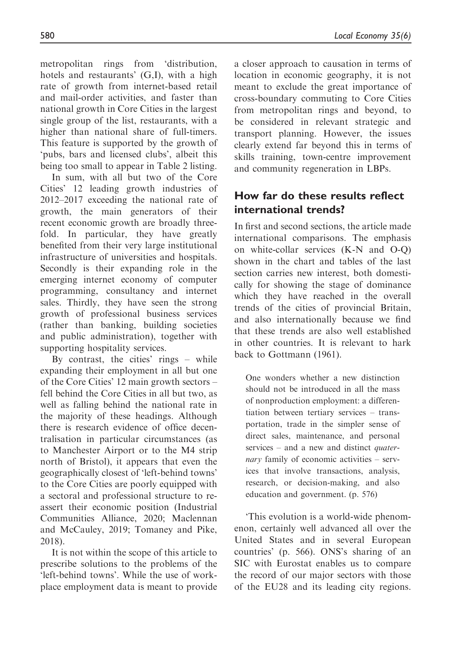metropolitan rings from 'distribution, hotels and restaurants' (G,I), with a high rate of growth from internet-based retail and mail-order activities, and faster than national growth in Core Cities in the largest single group of the list, restaurants, with a higher than national share of full-timers. This feature is supported by the growth of 'pubs, bars and licensed clubs', albeit this being too small to appear in Table 2 listing.

In sum, with all but two of the Core Cities' 12 leading growth industries of 2012–2017 exceeding the national rate of growth, the main generators of their recent economic growth are broadly threefold. In particular, they have greatly benefited from their very large institutional infrastructure of universities and hospitals. Secondly is their expanding role in the emerging internet economy of computer programming, consultancy and internet sales. Thirdly, they have seen the strong growth of professional business services (rather than banking, building societies and public administration), together with supporting hospitality services.

By contrast, the cities' rings – while expanding their employment in all but one of the Core Cities' 12 main growth sectors – fell behind the Core Cities in all but two, as well as falling behind the national rate in the majority of these headings. Although there is research evidence of office decentralisation in particular circumstances (as to Manchester Airport or to the M4 strip north of Bristol), it appears that even the geographically closest of 'left-behind towns' to the Core Cities are poorly equipped with a sectoral and professional structure to reassert their economic position (Industrial Communities Alliance, 2020; Maclennan and McCauley, 2019; Tomaney and Pike, 2018).

It is not within the scope of this article to prescribe solutions to the problems of the 'left-behind towns'. While the use of workplace employment data is meant to provide

a closer approach to causation in terms of location in economic geography, it is not meant to exclude the great importance of cross-boundary commuting to Core Cities from metropolitan rings and beyond, to be considered in relevant strategic and transport planning. However, the issues clearly extend far beyond this in terms of skills training, town-centre improvement and community regeneration in LBPs.

## How far do these results reflect international trends?

In first and second sections, the article made international comparisons. The emphasis on white-collar services (K-N and O-Q) shown in the chart and tables of the last section carries new interest, both domestically for showing the stage of dominance which they have reached in the overall trends of the cities of provincial Britain, and also internationally because we find that these trends are also well established in other countries. It is relevant to hark back to Gottmann (1961).

One wonders whether a new distinction should not be introduced in all the mass of nonproduction employment: a differentiation between tertiary services – transportation, trade in the simpler sense of direct sales, maintenance, and personal services – and a new and distinct quaternary family of economic activities – services that involve transactions, analysis, research, or decision-making, and also education and government. (p. 576)

'This evolution is a world-wide phenomenon, certainly well advanced all over the United States and in several European countries' (p. 566). ONS's sharing of an SIC with Eurostat enables us to compare the record of our major sectors with those of the EU28 and its leading city regions.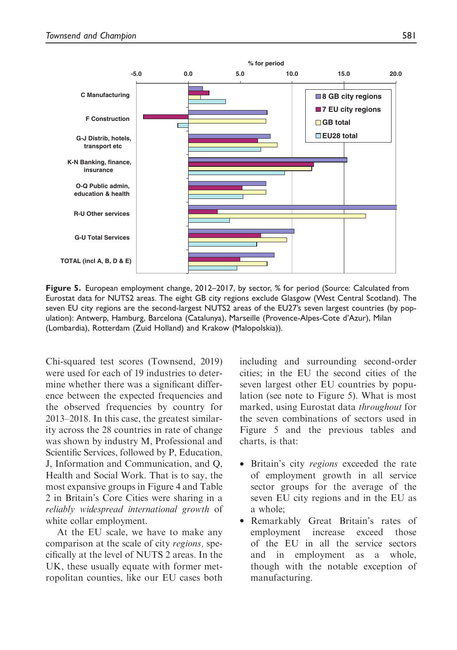

Figure 5. European employment change, 2012–2017, by sector, % for period (Source: Calculated from Eurostat data for NUTS2 areas. The eight GB city regions exclude Glasgow (West Central Scotland). The seven EU city regions are the second-largest NUTS2 areas of the EU27's seven largest countries (by population): Antwerp, Hamburg, Barcelona (Catalunya), Marseille (Provence-Alpes-Cote d'Azur), Milan (Lombardia), Rotterdam (Zuid Holland) and Krakow (Malopolskia)).

Chi-squared test scores (Townsend, 2019) were used for each of 19 industries to determine whether there was a significant difference between the expected frequencies and the observed frequencies by country for 2013–2018. In this case, the greatest similarity across the 28 countries in rate of change was shown by industry M, Professional and Scientific Services, followed by P, Education, J, Information and Communication, and Q, Health and Social Work. That is to say, the most expansive groups in Figure 4 and Table 2 in Britain's Core Cities were sharing in a reliably widespread international growth of white collar employment.

At the EU scale, we have to make any comparison at the scale of city regions, specifically at the level of NUTS 2 areas. In the UK, these usually equate with former metropolitan counties, like our EU cases both including and surrounding second-order cities; in the EU the second cities of the seven largest other EU countries by population (see note to Figure 5). What is most marked, using Eurostat data throughout for the seven combinations of sectors used in Figure 5 and the previous tables and charts, is that:

- Britain's city *regions* exceeded the rate of employment growth in all service sector groups for the average of the seven EU city regions and in the EU as a whole;
- Remarkably Great Britain's rates of employment increase exceed those of the EU in all the service sectors and in employment as a whole, though with the notable exception of manufacturing.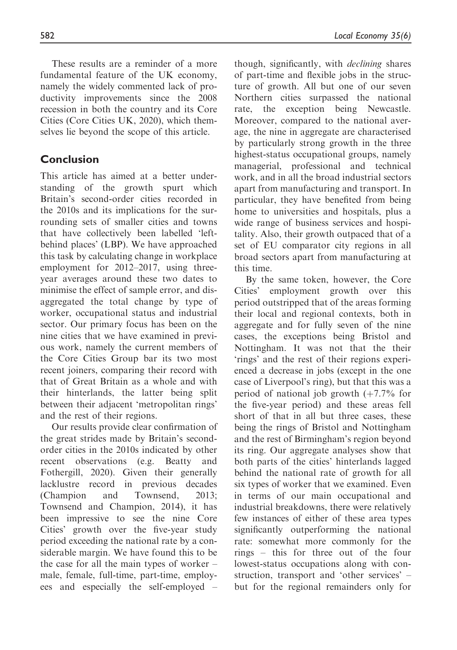These results are a reminder of a more fundamental feature of the UK economy, namely the widely commented lack of productivity improvements since the 2008 recession in both the country and its Core Cities (Core Cities UK, 2020), which themselves lie beyond the scope of this article.

### Conclusion

This article has aimed at a better understanding of the growth spurt which Britain's second-order cities recorded in the 2010s and its implications for the surrounding sets of smaller cities and towns that have collectively been labelled 'leftbehind places' (LBP). We have approached this task by calculating change in workplace employment for 2012–2017, using threeyear averages around these two dates to minimise the effect of sample error, and disaggregated the total change by type of worker, occupational status and industrial sector. Our primary focus has been on the nine cities that we have examined in previous work, namely the current members of the Core Cities Group bar its two most recent joiners, comparing their record with that of Great Britain as a whole and with their hinterlands, the latter being split between their adjacent 'metropolitan rings' and the rest of their regions.

Our results provide clear confirmation of the great strides made by Britain's secondorder cities in the 2010s indicated by other recent observations (e.g. Beatty and Fothergill, 2020). Given their generally lacklustre record in previous decades (Champion and Townsend, 2013; Townsend and Champion, 2014), it has been impressive to see the nine Core Cities' growth over the five-year study period exceeding the national rate by a considerable margin. We have found this to be the case for all the main types of worker – male, female, full-time, part-time, employees and especially the self-employed – though, significantly, with *declining* shares of part-time and flexible jobs in the structure of growth. All but one of our seven Northern cities surpassed the national rate, the exception being Newcastle. Moreover, compared to the national average, the nine in aggregate are characterised by particularly strong growth in the three highest-status occupational groups, namely managerial, professional and technical work, and in all the broad industrial sectors apart from manufacturing and transport. In particular, they have benefited from being home to universities and hospitals, plus a wide range of business services and hospitality. Also, their growth outpaced that of a set of EU comparator city regions in all broad sectors apart from manufacturing at this time.

By the same token, however, the Core Cities' employment growth over this period outstripped that of the areas forming their local and regional contexts, both in aggregate and for fully seven of the nine cases, the exceptions being Bristol and Nottingham. It was not that the their 'rings' and the rest of their regions experienced a decrease in jobs (except in the one case of Liverpool's ring), but that this was a period of national job growth  $(+7.7\%$  for the five-year period) and these areas fell short of that in all but three cases, these being the rings of Bristol and Nottingham and the rest of Birmingham's region beyond its ring. Our aggregate analyses show that both parts of the cities' hinterlands lagged behind the national rate of growth for all six types of worker that we examined. Even in terms of our main occupational and industrial breakdowns, there were relatively few instances of either of these area types significantly outperforming the national rate: somewhat more commonly for the rings – this for three out of the four lowest-status occupations along with construction, transport and 'other services' – but for the regional remainders only for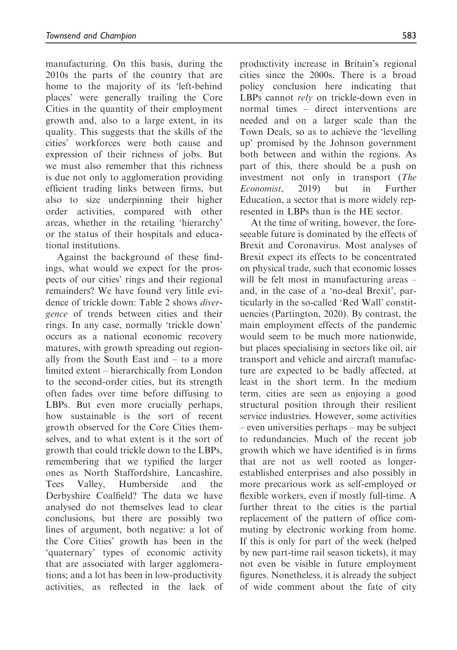manufacturing. On this basis, during the 2010s the parts of the country that are home to the majority of its 'left-behind places' were generally trailing the Core Cities in the quantity of their employment growth and, also to a large extent, in its quality. This suggests that the skills of the cities' workforces were both cause and expression of their richness of jobs. But we must also remember that this richness is due not only to agglomeration providing efficient trading links between firms, but also to size underpinning their higher order activities, compared with other areas, whether in the retailing 'hierarchy' or the status of their hospitals and educational institutions.

Against the background of these findings, what would we expect for the prospects of our cities' rings and their regional remainders? We have found very little evidence of trickle down: Table 2 shows divergence of trends between cities and their rings. In any case, normally 'trickle down' occurs as a national economic recovery matures, with growth spreading out regionally from the South East and – to a more limited extent – hierarchically from London to the second-order cities, but its strength often fades over time before diffusing to LBPs. But even more crucially perhaps, how sustainable is the sort of recent growth observed for the Core Cities themselves, and to what extent is it the sort of growth that could trickle down to the LBPs, remembering that we typified the larger ones as North Staffordshire, Lancashire, Tees Valley, Humberside and the Derbyshire Coalfield? The data we have analysed do not themselves lead to clear conclusions, but there are possibly two lines of argument, both negative: a lot of the Core Cities' growth has been in the 'quaternary' types of economic activity that are associated with larger agglomerations; and a lot has been in low-productivity activities, as reflected in the lack of productivity increase in Britain's regional cities since the 2000s. There is a broad policy conclusion here indicating that LBPs cannot rely on trickle-down even in normal times – direct interventions are needed and on a larger scale than the Town Deals, so as to achieve the 'levelling up' promised by the Johnson government both between and within the regions. As part of this, there should be a push on investment not only in transport (The Economist, 2019) but in Further Education, a sector that is more widely represented in LBPs than is the HE sector.

At the time of writing, however, the foreseeable future is dominated by the effects of Brexit and Coronavirus. Most analyses of Brexit expect its effects to be concentrated on physical trade, such that economic losses will be felt most in manufacturing areas – and, in the case of a 'no-deal Brexit', particularly in the so-called 'Red Wall' constituencies (Partington, 2020). By contrast, the main employment effects of the pandemic would seem to be much more nationwide, but places specialising in sectors like oil, air transport and vehicle and aircraft manufacture are expected to be badly affected, at least in the short term. In the medium term, cities are seen as enjoying a good structural position through their resilient service industries. However, some activities – even universities perhaps – may be subject to redundancies. Much of the recent job growth which we have identified is in firms that are not as well rooted as longerestablished enterprises and also possibly in more precarious work as self-employed or flexible workers, even if mostly full-time. A further threat to the cities is the partial replacement of the pattern of office commuting by electronic working from home. If this is only for part of the week (helped by new part-time rail season tickets), it may not even be visible in future employment figures. Nonetheless, it is already the subject of wide comment about the fate of city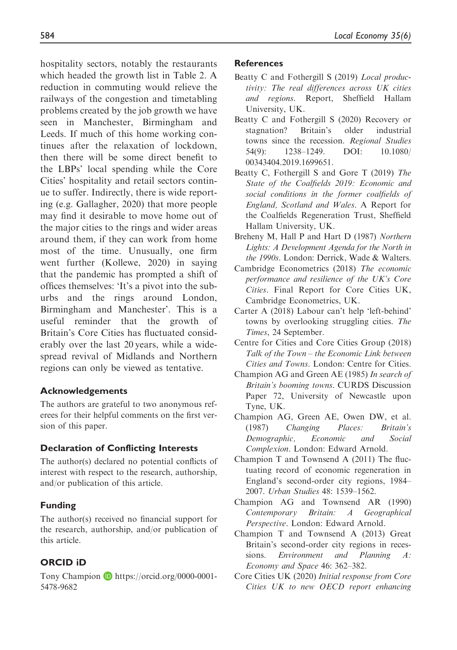hospitality sectors, notably the restaurants which headed the growth list in Table 2. A reduction in commuting would relieve the railways of the congestion and timetabling problems created by the job growth we have seen in Manchester, Birmingham and Leeds. If much of this home working continues after the relaxation of lockdown, then there will be some direct benefit to the LBPs' local spending while the Core Cities' hospitality and retail sectors continue to suffer. Indirectly, there is wide reporting (e.g. Gallagher, 2020) that more people may find it desirable to move home out of the major cities to the rings and wider areas around them, if they can work from home most of the time. Unusually, one firm went further (Kollewe, 2020) in saying that the pandemic has prompted a shift of offices themselves: 'It's a pivot into the suburbs and the rings around London, Birmingham and Manchester'. This is a useful reminder that the growth of Britain's Core Cities has fluctuated considerably over the last 20 years, while a widespread revival of Midlands and Northern regions can only be viewed as tentative.

## Acknowledgements

The authors are grateful to two anonymous referees for their helpful comments on the first version of this paper.

## Declaration of Conflicting Interests

The author(s) declared no potential conflicts of interest with respect to the research, authorship, and/or publication of this article.

## Funding

The author(s) received no financial support for the research, authorship, and/or publication of this article.

## ORCID iD

Tony Champion **D** [https://orcid.org/0000-0001-](https://orcid.org/0000-0001-5478-9682) [5478-9682](https://orcid.org/0000-0001-5478-9682)

## **References**

- Beatty C and Fothergill S (2019) Local productivity: The real differences across UK cities and regions. Report, Sheffield Hallam University, UK.
- Beatty C and Fothergill S (2020) Recovery or stagnation? Britain's older industrial towns since the recession. Regional Studies 54(9): 1238–1249. DOI: 10.1080/ 00343404.2019.1699651.
- Beatty C, Fothergill S and Gore T (2019) The State of the Coalfields 2019: Economic and social conditions in the former coalfields of England, Scotland and Wales. A Report for the Coalfields Regeneration Trust, Sheffield Hallam University, UK.
- Breheny M, Hall P and Hart D (1987) Northern Lights: A Development Agenda for the North in the 1990s. London: Derrick, Wade & Walters.
- Cambridge Econometrics (2018) The economic performance and resilience of the UK's Core Cities. Final Report for Core Cities UK, Cambridge Econometrics, UK.
- Carter A (2018) Labour can't help 'left-behind' towns by overlooking struggling cities. The Times, 24 September.
- Centre for Cities and Core Cities Group (2018) Talk of the Town – the Economic Link between Cities and Towns. London: Centre for Cities.
- Champion AG and Green AE (1985) In search of Britain's booming towns. CURDS Discussion Paper 72, University of Newcastle upon Tyne, UK.
- Champion AG, Green AE, Owen DW, et al. (1987) Changing Places: Britain's Demographic, Economic and Social Complexion. London: Edward Arnold.
- Champion T and Townsend A (2011) The fluctuating record of economic regeneration in England's second-order city regions, 1984– 2007. Urban Studies 48: 1539–1562.
- Champion AG and Townsend AR (1990) Contemporary Britain: A Geographical Perspective. London: Edward Arnold.
- Champion T and Townsend A (2013) Great Britain's second-order city regions in recessions. Environment and Planning A: Economy and Space 46: 362–382.
- Core Cities UK (2020) Initial response from Core Cities UK to new OECD report enhancing